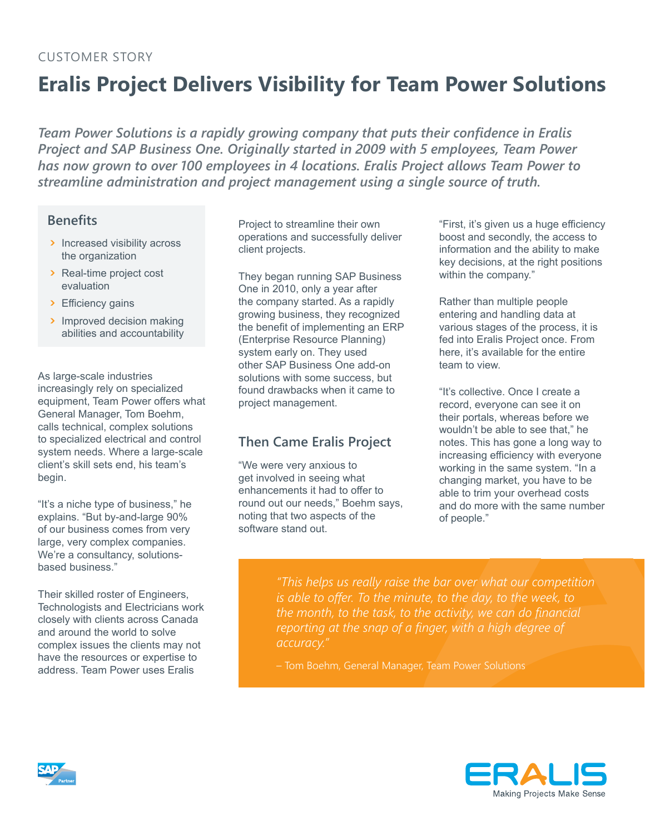#### Customer Story

# **Eralis Project Delivers Visibility for Team Power Solutions**

*Team Power Solutions is a rapidly growing company that puts their confidence in Eralis Project and SAP Business One. Originally started in 2009 with 5 employees, Team Power has now grown to over 100 employees in 4 locations. Eralis Project allows Team Power to streamline administration and project management using a single source of truth.*

#### **Benefits**

- ጉ Increased visibility across the organization
- ጉ Real-time project cost evaluation
- > Efficiency gains
- > Improved decision making abilities and accountability

As large-scale industries increasingly rely on specialized equipment, Team Power offers what General Manager, Tom Boehm, calls technical, complex solutions to specialized electrical and control system needs. Where a large-scale client's skill sets end, his team's begin.

"It's a niche type of business," he explains. "But by-and-large 90% of our business comes from very large, very complex companies. We're a consultancy, solutionsbased business."

Their skilled roster of Engineers, Technologists and Electricians work closely with clients across Canada and around the world to solve complex issues the clients may not have the resources or expertise to address. Team Power uses Eralis

Project to streamline their own operations and successfully deliver client projects.

They began running SAP Business One in 2010, only a year after the company started. As a rapidly growing business, they recognized the benefit of implementing an ERP (Enterprise Resource Planning) system early on. They used other SAP Business One add-on solutions with some success, but found drawbacks when it came to project management.

### **Then Came Eralis Project**

"We were very anxious to get involved in seeing what enhancements it had to offer to round out our needs," Boehm says, noting that two aspects of the software stand out.

"First, it's given us a huge efficiency boost and secondly, the access to information and the ability to make key decisions, at the right positions within the company."

Rather than multiple people entering and handling data at various stages of the process, it is fed into Eralis Project once. From here, it's available for the entire team to view.

"It's collective. Once I create a record, everyone can see it on their portals, whereas before we wouldn't be able to see that," he notes. This has gone a long way to increasing efficiency with everyone working in the same system. "In a changing market, you have to be able to trim your overhead costs and do more with the same number of people."

*"This helps us really raise the bar over what our competition is able to offer. To the minute, to the day, to the week, to the month, to the task, to the activity, we can do financial reporting at the snap of a finger, with a high degree of accuracy."*

– Tom Boehm, General Manager, Team Power Solutions